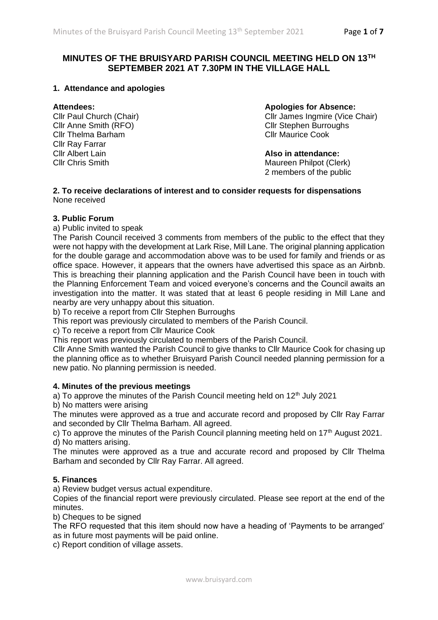# **MINUTES OF THE BRUISYARD PARISH COUNCIL MEETING HELD ON 13TH SEPTEMBER 2021 AT 7.30PM IN THE VILLAGE HALL**

#### **1. Attendance and apologies**

Cllr Thelma Barham Cllr Maurice Cook Cllr Ray Farrar Cllr Albert Lain **Also in attendance:**

#### **Attendees: Apologies for Absence:**

Cllr Paul Church (Chair)<br>
Cllr James Ingmire (Vice Chair)<br>
Cllr Stephen Burroughs<br>
Cllr Stephen Burroughs Cllr Stephen Burroughs

Maureen Philpot (Clerk) 2 members of the public

#### **2. To receive declarations of interest and to consider requests for dispensations** None received

#### **3. Public Forum**

a) Public invited to speak

The Parish Council received 3 comments from members of the public to the effect that they were not happy with the development at Lark Rise, Mill Lane. The original planning application for the double garage and accommodation above was to be used for family and friends or as office space. However, it appears that the owners have advertised this space as an Airbnb. This is breaching their planning application and the Parish Council have been in touch with the Planning Enforcement Team and voiced everyone's concerns and the Council awaits an investigation into the matter. It was stated that at least 6 people residing in Mill Lane and nearby are very unhappy about this situation.

b) To receive a report from Cllr Stephen Burroughs

This report was previously circulated to members of the Parish Council.

c) To receive a report from Cllr Maurice Cook

This report was previously circulated to members of the Parish Council.

Cllr Anne Smith wanted the Parish Council to give thanks to Cllr Maurice Cook for chasing up the planning office as to whether Bruisyard Parish Council needed planning permission for a new patio. No planning permission is needed.

#### **4. Minutes of the previous meetings**

a) To approve the minutes of the Parish Council meeting held on  $12<sup>th</sup>$  July 2021

b) No matters were arising

The minutes were approved as a true and accurate record and proposed by Cllr Ray Farrar and seconded by Cllr Thelma Barham. All agreed.

c) To approve the minutes of the Parish Council planning meeting held on  $17<sup>th</sup>$  August 2021. d) No matters arising.

The minutes were approved as a true and accurate record and proposed by Cllr Thelma Barham and seconded by Cllr Ray Farrar. All agreed.

#### **5. Finances**

a) Review budget versus actual expenditure.

Copies of the financial report were previously circulated. Please see report at the end of the minutes.

b) Cheques to be signed

The RFO requested that this item should now have a heading of 'Payments to be arranged' as in future most payments will be paid online.

c) Report condition of village assets.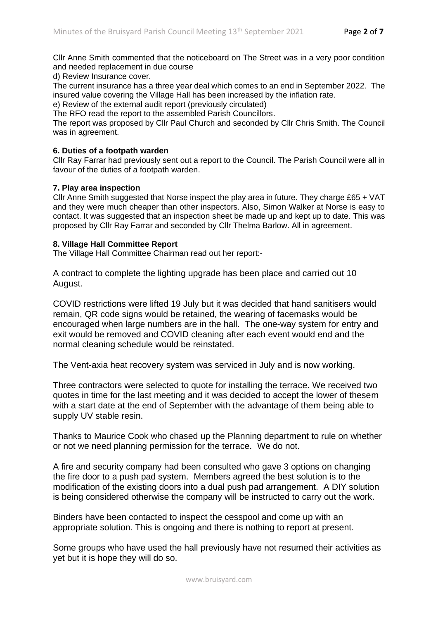Cllr Anne Smith commented that the noticeboard on The Street was in a very poor condition and needed replacement in due course

d) Review Insurance cover.

The current insurance has a three year deal which comes to an end in September 2022. The insured value covering the Village Hall has been increased by the inflation rate.

e) Review of the external audit report (previously circulated)

The RFO read the report to the assembled Parish Councillors.

The report was proposed by Cllr Paul Church and seconded by Cllr Chris Smith. The Council was in agreement.

#### **6. Duties of a footpath warden**

Cllr Ray Farrar had previously sent out a report to the Council. The Parish Council were all in favour of the duties of a footpath warden.

#### **7. Play area inspection**

Cllr Anne Smith suggested that Norse inspect the play area in future. They charge £65 + VAT and they were much cheaper than other inspectors. Also, Simon Walker at Norse is easy to contact. It was suggested that an inspection sheet be made up and kept up to date. This was proposed by Cllr Ray Farrar and seconded by Cllr Thelma Barlow. All in agreement.

#### **8. Village Hall Committee Report**

The Village Hall Committee Chairman read out her report:-

A contract to complete the lighting upgrade has been place and carried out 10 August.

COVID restrictions were lifted 19 July but it was decided that hand sanitisers would remain, QR code signs would be retained, the wearing of facemasks would be encouraged when large numbers are in the hall. The one-way system for entry and exit would be removed and COVID cleaning after each event would end and the normal cleaning schedule would be reinstated.

The Vent-axia heat recovery system was serviced in July and is now working.

Three contractors were selected to quote for installing the terrace. We received two quotes in time for the last meeting and it was decided to accept the lower of thesem with a start date at the end of September with the advantage of them being able to supply UV stable resin.

Thanks to Maurice Cook who chased up the Planning department to rule on whether or not we need planning permission for the terrace. We do not.

A fire and security company had been consulted who gave 3 options on changing the fire door to a push pad system. Members agreed the best solution is to the modification of the existing doors into a dual push pad arrangement. A DIY solution is being considered otherwise the company will be instructed to carry out the work.

Binders have been contacted to inspect the cesspool and come up with an appropriate solution. This is ongoing and there is nothing to report at present.

Some groups who have used the hall previously have not resumed their activities as yet but it is hope they will do so.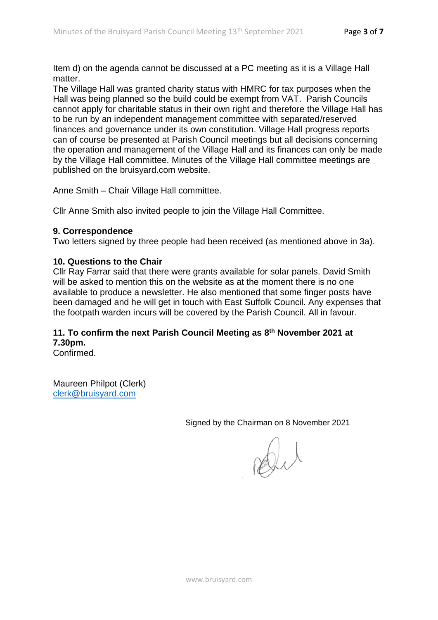Item d) on the agenda cannot be discussed at a PC meeting as it is a Village Hall matter.

The Village Hall was granted charity status with HMRC for tax purposes when the Hall was being planned so the build could be exempt from VAT. Parish Councils cannot apply for charitable status in their own right and therefore the Village Hall has to be run by an independent management committee with separated/reserved finances and governance under its own constitution. Village Hall progress reports can of course be presented at Parish Council meetings but all decisions concerning the operation and management of the Village Hall and its finances can only be made by the Village Hall committee. Minutes of the Village Hall committee meetings are published on the bruisyard.com website.

Anne Smith – Chair Village Hall committee.

Cllr Anne Smith also invited people to join the Village Hall Committee.

# **9. Correspondence**

Two letters signed by three people had been received (as mentioned above in 3a).

# **10. Questions to the Chair**

Cllr Ray Farrar said that there were grants available for solar panels. David Smith will be asked to mention this on the website as at the moment there is no one available to produce a newsletter. He also mentioned that some finger posts have been damaged and he will get in touch with East Suffolk Council. Any expenses that the footpath warden incurs will be covered by the Parish Council. All in favour.

# **11. To confirm the next Parish Council Meeting as 8th November 2021 at 7.30pm.**

Confirmed.

Maureen Philpot (Clerk) [clerk@bruisyard.com](mailto:clerk@bruisyard.com)

Signed by the Chairman on 8 November 2021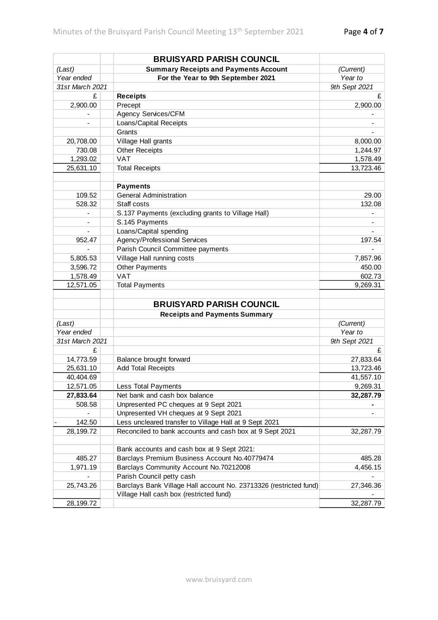|                 | <b>BRUISYARD PARISH COUNCIL</b>                                   |               |
|-----------------|-------------------------------------------------------------------|---------------|
| (Last)          | <b>Summary Receipts and Payments Account</b>                      | (Current)     |
| Year ended      | For the Year to 9th September 2021                                | Year to       |
| 31st March 2021 |                                                                   | 9th Sept 2021 |
| £               | <b>Receipts</b>                                                   | £             |
| 2,900.00        | Precept                                                           | 2,900.00      |
|                 | Agency Services/CFM                                               |               |
|                 | Loans/Capital Receipts                                            |               |
|                 | Grants                                                            |               |
| 20,708.00       | Village Hall grants                                               | 8,000.00      |
| 730.08          | <b>Other Receipts</b>                                             | 1,244.97      |
| 1,293.02        | <b>VAT</b>                                                        | 1,578.49      |
| 25,631.10       | <b>Total Receipts</b>                                             | 13,723.46     |
|                 |                                                                   |               |
|                 | <b>Payments</b>                                                   |               |
| 109.52          | <b>General Administration</b>                                     | 29.00         |
| 528.32          | Staff costs                                                       | 132.08        |
|                 | S.137 Payments (excluding grants to Village Hall)                 |               |
|                 | S.145 Payments                                                    |               |
|                 | Loans/Capital spending                                            |               |
| 952.47          | Agency/Professional Services                                      | 197.54        |
|                 | Parish Council Committee payments                                 |               |
| 5,805.53        | Village Hall running costs                                        | 7,857.96      |
| 3,596.72        | <b>Other Payments</b>                                             | 450.00        |
| 1,578.49        | <b>VAT</b>                                                        | 602.73        |
| 12,571.05       | <b>Total Payments</b>                                             | 9,269.31      |
|                 |                                                                   |               |
|                 | <b>BRUISYARD PARISH COUNCIL</b>                                   |               |
|                 | <b>Receipts and Payments Summary</b>                              |               |
| (Last)          |                                                                   | (Current)     |
| Year ended      |                                                                   | Year to       |
| 31st March 2021 |                                                                   | 9th Sept 2021 |
| £               |                                                                   | £             |
| 14,773.59       | Balance brought forward                                           | 27,833.64     |
| 25,631.10       | <b>Add Total Receipts</b>                                         | 13,723.46     |
| 40,404.69       |                                                                   | 41,557.10     |
| 12,571.05       | <b>Less Total Payments</b>                                        | 9,269.31      |
| 27,833.64       | Net bank and cash box balance                                     | 32,287.79     |
| 508.58          | Unpresented PC cheques at 9 Sept 2021                             |               |
|                 | Unpresented VH cheques at 9 Sept 2021                             |               |
| 142.50          | Less uncleared transfer to Village Hall at 9 Sept 2021            |               |
| 28,199.72       | Reconciled to bank accounts and cash box at 9 Sept 2021           | 32,287.79     |
|                 |                                                                   |               |
|                 | Bank accounts and cash box at 9 Sept 2021:                        |               |
| 485.27          | Barclays Premium Business Account No.40779474                     | 485.28        |
| 1,971.19        | Barclays Community Account No.70212008                            | 4,456.15      |
|                 | Parish Council petty cash                                         |               |
| 25,743.26       | Barclays Bank Village Hall account No. 23713326 (restricted fund) | 27,346.36     |
|                 | Village Hall cash box (restricted fund)                           |               |
| 28,199.72       |                                                                   | 32,287.79     |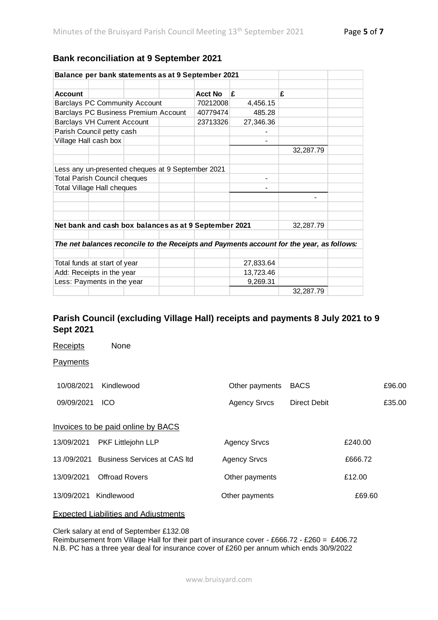### **Bank reconciliation at 9 September 2021**

| Balance per bank statements as at 9 September 2021                                        |                |           |           |  |
|-------------------------------------------------------------------------------------------|----------------|-----------|-----------|--|
|                                                                                           |                |           |           |  |
| <b>Account</b>                                                                            | <b>Acct No</b> | £         | £         |  |
| <b>Barclays PC Community Account</b>                                                      | 70212008       | 4,456.15  |           |  |
| Barclays PC Business Premium Account                                                      | 40779474       | 485.28    |           |  |
| <b>Barclays VH Current Account</b>                                                        | 23713326       | 27,346.36 |           |  |
| Parish Council petty cash                                                                 |                |           |           |  |
| Village Hall cash box                                                                     |                |           |           |  |
|                                                                                           |                |           | 32,287.79 |  |
|                                                                                           |                |           |           |  |
| Less any un-presented cheques at 9 September 2021                                         |                |           |           |  |
| <b>Total Parish Council cheques</b>                                                       |                |           |           |  |
| <b>Total Village Hall cheques</b>                                                         |                |           |           |  |
|                                                                                           |                |           |           |  |
|                                                                                           |                |           |           |  |
|                                                                                           |                |           |           |  |
| Net bank and cash box balances as at 9 September 2021                                     |                |           | 32,287.79 |  |
|                                                                                           |                |           |           |  |
| The net balances reconcile to the Receipts and Payments account for the year, as follows: |                |           |           |  |
|                                                                                           |                |           |           |  |
| Total funds at start of year                                                              |                | 27,833.64 |           |  |
| Add: Receipts in the year                                                                 |                | 13,723.46 |           |  |
| Less: Payments in the year                                                                |                | 9,269.31  |           |  |
|                                                                                           |                |           | 32,287.79 |  |

# **Parish Council (excluding Village Hall) receipts and payments 8 July 2021 to 9 Sept 2021**

Receipts None **Payments** 10/08/2021 Kindlewood **Other payments** BACS £96.00 09/09/2021 ICO Agency Srvcs Direct Debit £35.00 Invoices to be paid online by BACS 13/09/2021 PKF Littlejohn LLP Agency Srvcs E240.00 13/09/2021 Business Services at CAS ltd Agency Srvcs 666.72 13/09/2021 Offroad Rovers Other payments £12.00 13/09/2021 Kindlewood Other payments £69.60 Expected Liabilities and Adjustments

Clerk salary at end of September £132.08

Reimbursement from Village Hall for their part of insurance cover - £666.72 - £260 = £406.72 N.B. PC has a three year deal for insurance cover of £260 per annum which ends 30/9/2022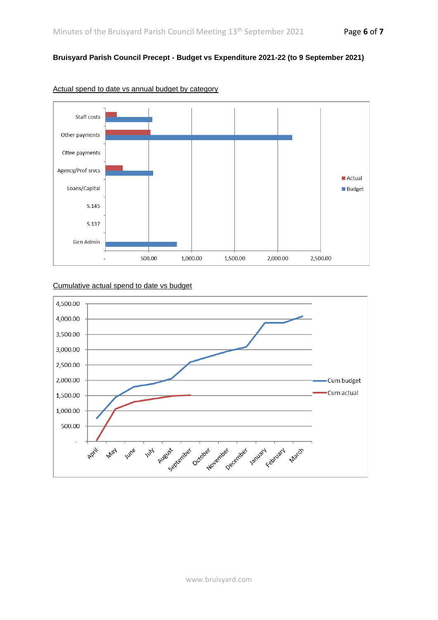## **Bruisyard Parish Council Precept - Budget vs Expenditure 2021-22 (to 9 September 2021)**



Actual spend to date vs annual budget by category

### Cumulative actual spend to date vs budget